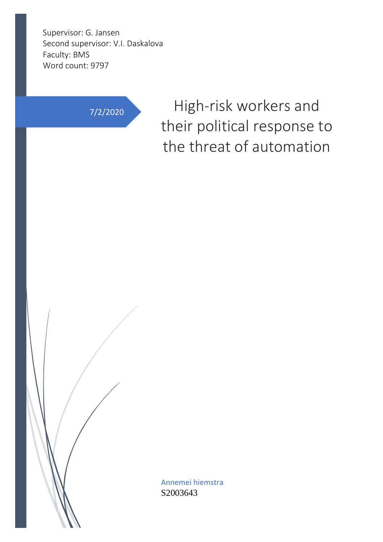Supervisor: G. Jansen Second supervisor: V.I. Daskalova Faculty: BMS Word count: 9797

7/2/2020 High-risk workers and their political response to the threat of automation

> Annemei hiemstra S2003643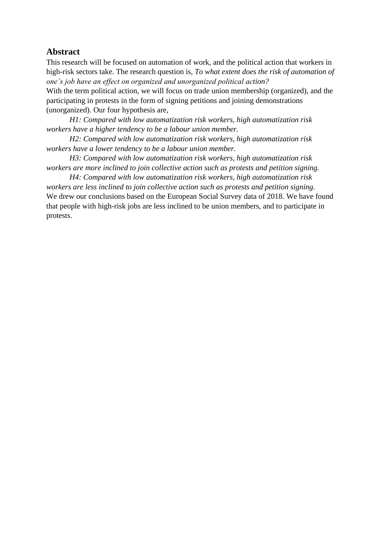### **Abstract**

This research will be focused on automation of work, and the political action that workers in high-risk sectors take. The research question is, *To what extent does the risk of automation of one's job have an effect on organized and unorganized political action?*

With the term political action, we will focus on trade union membership (organized), and the participating in protests in the form of signing petitions and joining demonstrations (unorganized). Our four hypothesis are,

*H1: Compared with low automatization risk workers, high automatization risk workers have a higher tendency to be a labour union member.*

*H2: Compared with low automatization risk workers, high automatization risk workers have a lower tendency to be a labour union member.*

*H3: Compared with low automatization risk workers, high automatization risk workers are more inclined to join collective action such as protests and petition signing.*

*H4: Compared with low automatization risk workers, high automatization risk workers are less inclined to join collective action such as protests and petition signing.* We drew our conclusions based on the European Social Survey data of 2018. We have found that people with high-risk jobs are less inclined to be union members, and to participate in protests.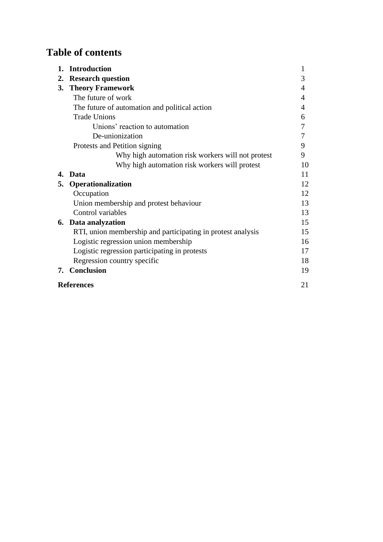# **Table of contents**

| 1.                      | <b>Introduction</b>                                         | 1  |  |  |  |  |  |
|-------------------------|-------------------------------------------------------------|----|--|--|--|--|--|
| 2.                      | <b>Research question</b>                                    | 3  |  |  |  |  |  |
| 3.                      | <b>Theory Framework</b>                                     |    |  |  |  |  |  |
|                         | The future of work                                          |    |  |  |  |  |  |
|                         | The future of automation and political action               | 4  |  |  |  |  |  |
|                         | <b>Trade Unions</b>                                         | 6  |  |  |  |  |  |
|                         | Unions' reaction to automation                              | 7  |  |  |  |  |  |
|                         | De-unionization                                             | 7  |  |  |  |  |  |
|                         | Protests and Petition signing                               | 9  |  |  |  |  |  |
|                         | Why high automation risk workers will not protest           | 9  |  |  |  |  |  |
|                         | Why high automation risk workers will protest               | 10 |  |  |  |  |  |
| 4.                      | <b>Data</b>                                                 | 11 |  |  |  |  |  |
| 5.                      | Operationalization                                          | 12 |  |  |  |  |  |
|                         | Occupation                                                  | 12 |  |  |  |  |  |
|                         | Union membership and protest behaviour                      | 13 |  |  |  |  |  |
|                         | Control variables                                           |    |  |  |  |  |  |
|                         | <b>6.</b> Data analyzation                                  | 15 |  |  |  |  |  |
|                         | RTI, union membership and participating in protest analysis | 15 |  |  |  |  |  |
|                         | Logistic regression union membership                        | 16 |  |  |  |  |  |
|                         | Logistic regression participating in protests               | 17 |  |  |  |  |  |
|                         | Regression country specific                                 | 18 |  |  |  |  |  |
| 7.                      | <b>Conclusion</b>                                           | 19 |  |  |  |  |  |
| 21<br><b>References</b> |                                                             |    |  |  |  |  |  |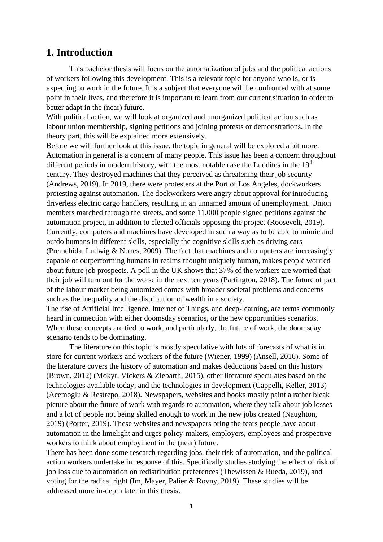## **1. Introduction**

This bachelor thesis will focus on the automatization of jobs and the political actions of workers following this development. This is a relevant topic for anyone who is, or is expecting to work in the future. It is a subject that everyone will be confronted with at some point in their lives, and therefore it is important to learn from our current situation in order to better adapt in the (near) future.

With political action, we will look at organized and unorganized political action such as labour union membership, signing petitions and joining protests or demonstrations. In the theory part, this will be explained more extensively.

Before we will further look at this issue, the topic in general will be explored a bit more. Automation in general is a concern of many people. This issue has been a concern throughout different periods in modern history, with the most notable case the Luddites in the  $19<sup>th</sup>$ century. They destroyed machines that they perceived as threatening their job security (Andrews, 2019). In 2019, there were protesters at the Port of Los Angeles, dockworkers protesting against automation. The dockworkers were angry about approval for introducing driverless electric cargo handlers, resulting in an unnamed amount of unemployment. Union members marched through the streets, and some 11.000 people signed petitions against the automation project, in addition to elected officials opposing the project (Roosevelt, 2019). Currently, computers and machines have developed in such a way as to be able to mimic and outdo humans in different skills, especially the cognitive skills such as driving cars (Premebida, Ludwig & Nunes, 2009). The fact that machines and computers are increasingly capable of outperforming humans in realms thought uniquely human, makes people worried about future job prospects. A poll in the UK shows that 37% of the workers are worried that their job will turn out for the worse in the next ten years (Partington, 2018). The future of part of the labour market being automized comes with broader societal problems and concerns such as the inequality and the distribution of wealth in a society.

The rise of Artificial Intelligence, Internet of Things, and deep-learning, are terms commonly heard in connection with either doomsday scenarios, or the new opportunities scenarios. When these concepts are tied to work, and particularly, the future of work, the doomsday scenario tends to be dominating.

The literature on this topic is mostly speculative with lots of forecasts of what is in store for current workers and workers of the future (Wiener, 1999) (Ansell, 2016). Some of the literature covers the history of automation and makes deductions based on this history (Brown, 2012) (Mokyr, Vickers & Ziebarth, 2015), other literature speculates based on the technologies available today, and the technologies in development (Cappelli, Keller, 2013) (Acemoglu & Restrepo, 2018). Newspapers, websites and books mostly paint a rather bleak picture about the future of work with regards to automation, where they talk about job losses and a lot of people not being skilled enough to work in the new jobs created (Naughton, 2019) (Porter, 2019). These websites and newspapers bring the fears people have about automation in the limelight and urges policy-makers, employers, employees and prospective workers to think about employment in the (near) future.

There has been done some research regarding jobs, their risk of automation, and the political action workers undertake in response of this. Specifically studies studying the effect of risk of job loss due to automation on redistribution preferences (Thewissen & Rueda, 2019), and voting for the radical right (Im, Mayer, Palier & Rovny, 2019). These studies will be addressed more in-depth later in this thesis.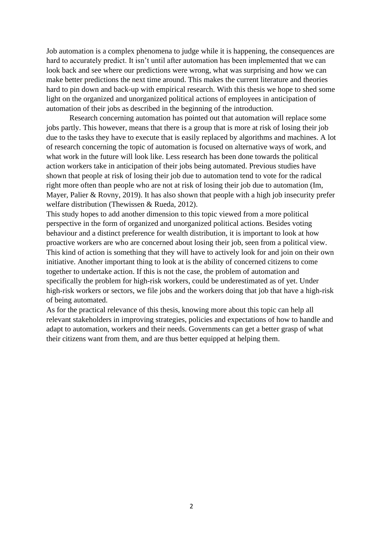Job automation is a complex phenomena to judge while it is happening, the consequences are hard to accurately predict. It isn't until after automation has been implemented that we can look back and see where our predictions were wrong, what was surprising and how we can make better predictions the next time around. This makes the current literature and theories hard to pin down and back-up with empirical research. With this thesis we hope to shed some light on the organized and unorganized political actions of employees in anticipation of automation of their jobs as described in the beginning of the introduction.

Research concerning automation has pointed out that automation will replace some jobs partly. This however, means that there is a group that is more at risk of losing their job due to the tasks they have to execute that is easily replaced by algorithms and machines. A lot of research concerning the topic of automation is focused on alternative ways of work, and what work in the future will look like. Less research has been done towards the political action workers take in anticipation of their jobs being automated. Previous studies have shown that people at risk of losing their job due to automation tend to vote for the radical right more often than people who are not at risk of losing their job due to automation (Im, Mayer, Palier & Rovny, 2019). It has also shown that people with a high job insecurity prefer welfare distribution (Thewissen & Rueda, 2012).

This study hopes to add another dimension to this topic viewed from a more political perspective in the form of organized and unorganized political actions. Besides voting behaviour and a distinct preference for wealth distribution, it is important to look at how proactive workers are who are concerned about losing their job, seen from a political view. This kind of action is something that they will have to actively look for and join on their own initiative. Another important thing to look at is the ability of concerned citizens to come together to undertake action. If this is not the case, the problem of automation and specifically the problem for high-risk workers, could be underestimated as of yet. Under high-risk workers or sectors, we file jobs and the workers doing that job that have a high-risk of being automated.

As for the practical relevance of this thesis, knowing more about this topic can help all relevant stakeholders in improving strategies, policies and expectations of how to handle and adapt to automation, workers and their needs. Governments can get a better grasp of what their citizens want from them, and are thus better equipped at helping them.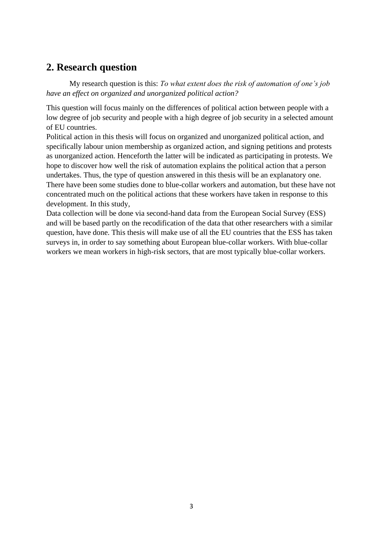# **2. Research question**

My research question is this: *To what extent does the risk of automation of one's job have an effect on organized and unorganized political action?*

This question will focus mainly on the differences of political action between people with a low degree of job security and people with a high degree of job security in a selected amount of EU countries.

Political action in this thesis will focus on organized and unorganized political action, and specifically labour union membership as organized action, and signing petitions and protests as unorganized action. Henceforth the latter will be indicated as participating in protests. We hope to discover how well the risk of automation explains the political action that a person undertakes. Thus, the type of question answered in this thesis will be an explanatory one. There have been some studies done to blue-collar workers and automation, but these have not concentrated much on the political actions that these workers have taken in response to this development. In this study,

Data collection will be done via second-hand data from the European Social Survey (ESS) and will be based partly on the recodification of the data that other researchers with a similar question, have done. This thesis will make use of all the EU countries that the ESS has taken surveys in, in order to say something about European blue-collar workers. With blue-collar workers we mean workers in high-risk sectors, that are most typically blue-collar workers.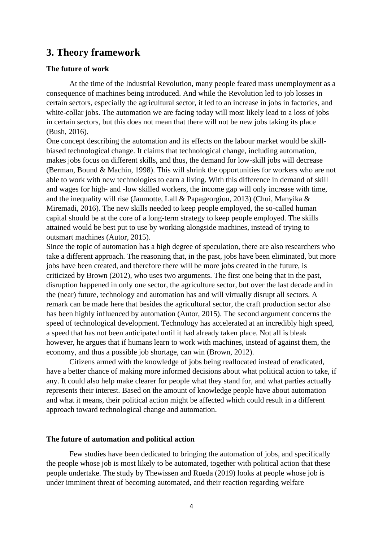# **3. Theory framework**

### **The future of work**

At the time of the Industrial Revolution, many people feared mass unemployment as a consequence of machines being introduced. And while the Revolution led to job losses in certain sectors, especially the agricultural sector, it led to an increase in jobs in factories, and white-collar jobs. The automation we are facing today will most likely lead to a loss of jobs in certain sectors, but this does not mean that there will not be new jobs taking its place (Bush, 2016).

One concept describing the automation and its effects on the labour market would be skillbiased technological change. It claims that technological change, including automation, makes jobs focus on different skills, and thus, the demand for low-skill jobs will decrease (Berman, Bound & Machin, 1998). This will shrink the opportunities for workers who are not able to work with new technologies to earn a living. With this difference in demand of skill and wages for high- and -low skilled workers, the income gap will only increase with time, and the inequality will rise (Jaumotte, Lall & Papageorgiou, 2013) (Chui, Manyika & Miremadi, 2016). The new skills needed to keep people employed, the so-called human capital should be at the core of a long-term strategy to keep people employed. The skills attained would be best put to use by working alongside machines, instead of trying to outsmart machines (Autor, 2015).

Since the topic of automation has a high degree of speculation, there are also researchers who take a different approach. The reasoning that, in the past, jobs have been eliminated, but more jobs have been created, and therefore there will be more jobs created in the future, is criticized by Brown (2012), who uses two arguments. The first one being that in the past, disruption happened in only one sector, the agriculture sector, but over the last decade and in the (near) future, technology and automation has and will virtually disrupt all sectors. A remark can be made here that besides the agricultural sector, the craft production sector also has been highly influenced by automation (Autor, 2015). The second argument concerns the speed of technological development. Technology has accelerated at an incredibly high speed, a speed that has not been anticipated until it had already taken place. Not all is bleak however, he argues that if humans learn to work with machines, instead of against them, the economy, and thus a possible job shortage, can win (Brown, 2012).

Citizens armed with the knowledge of jobs being reallocated instead of eradicated, have a better chance of making more informed decisions about what political action to take, if any. It could also help make clearer for people what they stand for, and what parties actually represents their interest. Based on the amount of knowledge people have about automation and what it means, their political action might be affected which could result in a different approach toward technological change and automation.

### **The future of automation and political action**

Few studies have been dedicated to bringing the automation of jobs, and specifically the people whose job is most likely to be automated, together with political action that these people undertake. The study by Thewissen and Rueda (2019) looks at people whose job is under imminent threat of becoming automated, and their reaction regarding welfare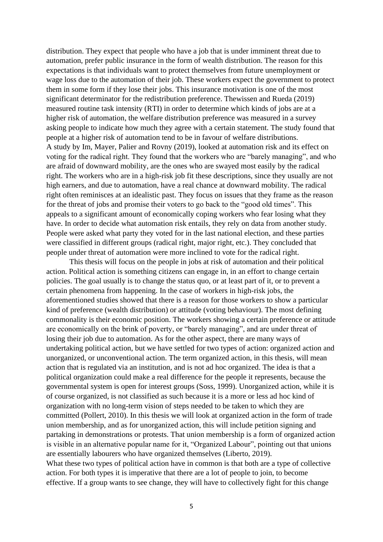distribution. They expect that people who have a job that is under imminent threat due to automation, prefer public insurance in the form of wealth distribution. The reason for this expectations is that individuals want to protect themselves from future unemployment or wage loss due to the automation of their job. These workers expect the government to protect them in some form if they lose their jobs. This insurance motivation is one of the most significant determinator for the redistribution preference. Thewissen and Rueda (2019) measured routine task intensity (RTI) in order to determine which kinds of jobs are at a higher risk of automation, the welfare distribution preference was measured in a survey asking people to indicate how much they agree with a certain statement. The study found that people at a higher risk of automation tend to be in favour of welfare distributions. A study by Im, Mayer, Palier and Rovny (2019), looked at automation risk and its effect on voting for the radical right. They found that the workers who are "barely managing", and who are afraid of downward mobility, are the ones who are swayed most easily by the radical right. The workers who are in a high-risk job fit these descriptions, since they usually are not high earners, and due to automation, have a real chance at downward mobility. The radical right often reminisces at an idealistic past. They focus on issues that they frame as the reason for the threat of jobs and promise their voters to go back to the "good old times". This appeals to a significant amount of economically coping workers who fear losing what they have. In order to decide what automation risk entails, they rely on data from another study. People were asked what party they voted for in the last national election, and these parties were classified in different groups (radical right, major right, etc.). They concluded that people under threat of automation were more inclined to vote for the radical right.

This thesis will focus on the people in jobs at risk of automation and their political action. Political action is something citizens can engage in, in an effort to change certain policies. The goal usually is to change the status quo, or at least part of it, or to prevent a certain phenomena from happening. In the case of workers in high-risk jobs, the aforementioned studies showed that there is a reason for those workers to show a particular kind of preference (wealth distribution) or attitude (voting behaviour). The most defining commonality is their economic position. The workers showing a certain preference or attitude are economically on the brink of poverty, or "barely managing", and are under threat of losing their job due to automation. As for the other aspect, there are many ways of undertaking political action, but we have settled for two types of action: organized action and unorganized, or unconventional action. The term organized action, in this thesis, will mean action that is regulated via an institution, and is not ad hoc organized. The idea is that a political organization could make a real difference for the people it represents, because the governmental system is open for interest groups (Soss, 1999). Unorganized action, while it is of course organized, is not classified as such because it is a more or less ad hoc kind of organization with no long-term vision of steps needed to be taken to which they are committed (Pollert, 2010). In this thesis we will look at organized action in the form of trade union membership, and as for unorganized action, this will include petition signing and partaking in demonstrations or protests. That union membership is a form of organized action is visible in an alternative popular name for it, "Organized Labour", pointing out that unions are essentially labourers who have organized themselves (Liberto, 2019). What these two types of political action have in common is that both are a type of collective action. For both types it is imperative that there are a lot of people to join, to become effective. If a group wants to see change, they will have to collectively fight for this change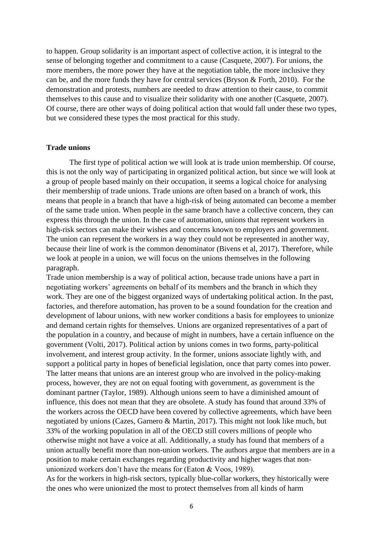to happen. Group solidarity is an important aspect of collective action, it is integral to the sense of belonging together and commitment to a cause (Casquete, 2007). For unions, the more members, the more power they have at the negotiation table, the more inclusive they can be, and the more funds they have for central services (Bryson & Forth, 2010). For the demonstration and protests, numbers are needed to draw attention to their cause, to commit themselves to this cause and to visualize their solidarity with one another (Casquete, 2007). Of course, there are other ways of doing political action that would fall under these two types, but we considered these types the most practical for this study.

### **Trade unions**

The first type of political action we will look at is trade union membership. Of course, this is not the only way of participating in organized political action, but since we will look at a group of people based mainly on their occupation, it seems a logical choice for analysing their membership of trade unions. Trade unions are often based on a branch of work, this means that people in a branch that have a high-risk of being automated can become a member of the same trade union. When people in the same branch have a collective concern, they can express this through the union. In the case of automation, unions that represent workers in high-risk sectors can make their wishes and concerns known to employers and government. The union can represent the workers in a way they could not be represented in another way, because their line of work is the common denominator (Bivens et al, 2017). Therefore, while we look at people in a union, we will focus on the unions themselves in the following paragraph.

Trade union membership is a way of political action, because trade unions have a part in negotiating workers' agreements on behalf of its members and the branch in which they work. They are one of the biggest organized ways of undertaking political action. In the past, factories, and therefore automation, has proven to be a sound foundation for the creation and development of labour unions, with new worker conditions a basis for employees to unionize and demand certain rights for themselves. Unions are organized representatives of a part of the population in a country, and because of might in numbers, have a certain influence on the government (Volti, 2017). Political action by unions comes in two forms, party-political involvement, and interest group activity. In the former, unions associate lightly with, and support a political party in hopes of beneficial legislation, once that party comes into power. The latter means that unions are an interest group who are involved in the policy-making process, however, they are not on equal footing with government, as government is the dominant partner (Taylor, 1989). Although unions seem to have a diminished amount of influence, this does not mean that they are obsolete. A study has found that around 33% of the workers across the OECD have been covered by collective agreements, which have been negotiated by unions (Cazes, Garnero & Martin, 2017). This might not look like much, but 33% of the working population in all of the OECD still covers millions of people who otherwise might not have a voice at all. Additionally, a study has found that members of a union actually benefit more than non-union workers. The authors argue that members are in a position to make certain exchanges regarding productivity and higher wages that nonunionized workers don't have the means for (Eaton & Voos, 1989).

As for the workers in high-risk sectors, typically blue-collar workers, they historically were the ones who were unionized the most to protect themselves from all kinds of harm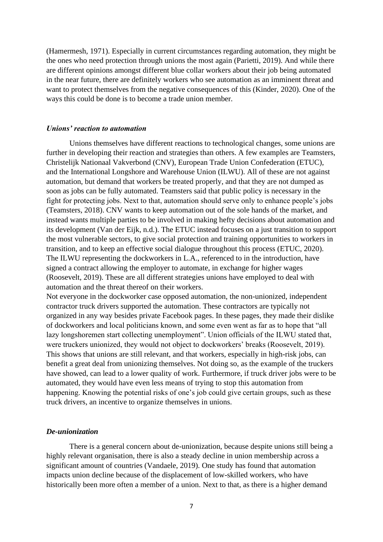(Hamermesh, 1971). Especially in current circumstances regarding automation, they might be the ones who need protection through unions the most again (Parietti, 2019). And while there are different opinions amongst different blue collar workers about their job being automated in the near future, there are definitely workers who see automation as an imminent threat and want to protect themselves from the negative consequences of this (Kinder, 2020). One of the ways this could be done is to become a trade union member.

#### *Unions' reaction to automation*

Unions themselves have different reactions to technological changes, some unions are further in developing their reaction and strategies than others. A few examples are Teamsters, Christelijk Nationaal Vakverbond (CNV), European Trade Union Confederation (ETUC), and the International Longshore and Warehouse Union (ILWU). All of these are not against automation, but demand that workers be treated properly, and that they are not dumped as soon as jobs can be fully automated. Teamsters said that public policy is necessary in the fight for protecting jobs. Next to that, automation should serve only to enhance people's jobs (Teamsters, 2018). CNV wants to keep automation out of the sole hands of the market, and instead wants multiple parties to be involved in making hefty decisions about automation and its development (Van der Eijk, n.d.). The ETUC instead focuses on a just transition to support the most vulnerable sectors, to give social protection and training opportunities to workers in transition, and to keep an effective social dialogue throughout this process (ETUC, 2020). The ILWU representing the dockworkers in L.A., referenced to in the introduction, have signed a contract allowing the employer to automate, in exchange for higher wages (Roosevelt, 2019). These are all different strategies unions have employed to deal with automation and the threat thereof on their workers.

Not everyone in the dockworker case opposed automation, the non-unionized, independent contractor truck drivers supported the automation. These contractors are typically not organized in any way besides private Facebook pages. In these pages, they made their dislike of dockworkers and local politicians known, and some even went as far as to hope that "all lazy longshoremen start collecting unemployment". Union officials of the ILWU stated that, were truckers unionized, they would not object to dockworkers' breaks (Roosevelt, 2019). This shows that unions are still relevant, and that workers, especially in high-risk jobs, can benefit a great deal from unionizing themselves. Not doing so, as the example of the truckers have showed, can lead to a lower quality of work. Furthermore, if truck driver jobs were to be automated, they would have even less means of trying to stop this automation from happening. Knowing the potential risks of one's job could give certain groups, such as these truck drivers, an incentive to organize themselves in unions.

### *De-unionization*

There is a general concern about de-unionization, because despite unions still being a highly relevant organisation, there is also a steady decline in union membership across a significant amount of countries (Vandaele, 2019). One study has found that automation impacts union decline because of the displacement of low-skilled workers, who have historically been more often a member of a union. Next to that, as there is a higher demand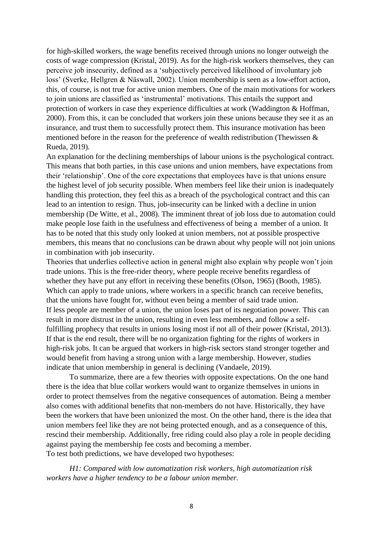for high-skilled workers, the wage benefits received through unions no longer outweigh the costs of wage compression (Kristal, 2019). As for the high-risk workers themselves, they can perceive job insecurity, defined as a 'subjectively perceived likelihood of involuntary job loss' (Sverke, Hellgren & Näswall, 2002). Union membership is seen as a low-effort action, this, of course, is not true for active union members. One of the main motivations for workers to join unions are classified as 'instrumental' motivations. This entails the support and protection of workers in case they experience difficulties at work (Waddington & Hoffman, 2000). From this, it can be concluded that workers join these unions because they see it as an insurance, and trust them to successfully protect them. This insurance motivation has been mentioned before in the reason for the preference of wealth redistribution (Thewissen & Rueda, 2019).

An explanation for the declining memberships of labour unions is the psychological contract. This means that both parties, in this case unions and union members, have expectations from their 'relationship'. One of the core expectations that employees have is that unions ensure the highest level of job security possible. When members feel like their union is inadequately handling this protection, they feel this as a breach of the psychological contract and this can lead to an intention to resign. Thus, job-insecurity can be linked with a decline in union membership (De Witte, et al., 2008). The imminent threat of job loss due to automation could make people lose faith in the usefulness and effectiveness of being a member of a union. It has to be noted that this study only looked at union members, not at possible prospective members, this means that no conclusions can be drawn about why people will not join unions in combination with job insecurity.

Theories that underlies collective action in general might also explain why people won't join trade unions. This is the free-rider theory, where people receive benefits regardless of whether they have put any effort in receiving these benefits (Olson, 1965) (Booth, 1985). Which can apply to trade unions, where workers in a specific branch can receive benefits, that the unions have fought for, without even being a member of said trade union. If less people are member of a union, the union loses part of its negotiation power. This can result in more distrust in the union, resulting in even less members, and follow a selffulfilling prophecy that results in unions losing most if not all of their power (Kristal, 2013). If that is the end result, there will be no organization fighting for the rights of workers in high-risk jobs. It can be argued that workers in high-risk sectors stand stronger together and would benefit from having a strong union with a large membership. However, studies indicate that union membership in general is declining (Vandaele, 2019).

To summarize, there are a few theories with opposite expectations. On the one hand there is the idea that blue collar workers would want to organize themselves in unions in order to protect themselves from the negative consequences of automation. Being a member also comes with additional benefits that non-members do not have. Historically, they have been the workers that have been unionized the most. On the other hand, there is the idea that union members feel like they are not being protected enough, and as a consequence of this, rescind their membership. Additionally, free riding could also play a role in people deciding against paying the membership fee costs and becoming a member. To test both predictions, we have developed two hypotheses:

*H1: Compared with low automatization risk workers, high automatization risk workers have a higher tendency to be a labour union member.*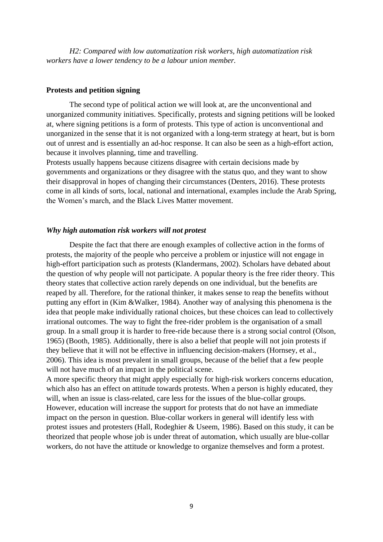*H2: Compared with low automatization risk workers, high automatization risk workers have a lower tendency to be a labour union member.*

### **Protests and petition signing**

The second type of political action we will look at, are the unconventional and unorganized community initiatives. Specifically, protests and signing petitions will be looked at, where signing petitions is a form of protests. This type of action is unconventional and unorganized in the sense that it is not organized with a long-term strategy at heart, but is born out of unrest and is essentially an ad-hoc response. It can also be seen as a high-effort action, because it involves planning, time and travelling.

Protests usually happens because citizens disagree with certain decisions made by governments and organizations or they disagree with the status quo, and they want to show their disapproval in hopes of changing their circumstances (Denters, 2016). These protests come in all kinds of sorts, local, national and international, examples include the Arab Spring, the Women's march, and the Black Lives Matter movement.

### *Why high automation risk workers will not protest*

Despite the fact that there are enough examples of collective action in the forms of protests, the majority of the people who perceive a problem or injustice will not engage in high-effort participation such as protests (Klandermans, 2002). Scholars have debated about the question of why people will not participate. A popular theory is the free rider theory. This theory states that collective action rarely depends on one individual, but the benefits are reaped by all. Therefore, for the rational thinker, it makes sense to reap the benefits without putting any effort in (Kim &Walker, 1984). Another way of analysing this phenomena is the idea that people make individually rational choices, but these choices can lead to collectively irrational outcomes. The way to fight the free-rider problem is the organisation of a small group. In a small group it is harder to free-ride because there is a strong social control (Olson, 1965) (Booth, 1985). Additionally, there is also a belief that people will not join protests if they believe that it will not be effective in influencing decision-makers (Hornsey, et al., 2006). This idea is most prevalent in small groups, because of the belief that a few people will not have much of an impact in the political scene.

A more specific theory that might apply especially for high-risk workers concerns education, which also has an effect on attitude towards protests. When a person is highly educated, they will, when an issue is class-related, care less for the issues of the blue-collar groups. However, education will increase the support for protests that do not have an immediate impact on the person in question. Blue-collar workers in general will identify less with protest issues and protesters (Hall, Rodeghier & Useem, 1986). Based on this study, it can be theorized that people whose job is under threat of automation, which usually are blue-collar workers, do not have the attitude or knowledge to organize themselves and form a protest.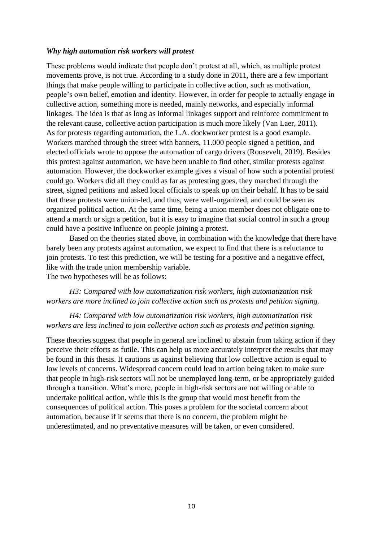### *Why high automation risk workers will protest*

These problems would indicate that people don't protest at all, which, as multiple protest movements prove, is not true. According to a study done in 2011, there are a few important things that make people willing to participate in collective action, such as motivation, people's own belief, emotion and identity. However, in order for people to actually engage in collective action, something more is needed, mainly networks, and especially informal linkages. The idea is that as long as informal linkages support and reinforce commitment to the relevant cause, collective action participation is much more likely (Van Laer, 2011). As for protests regarding automation, the L.A. dockworker protest is a good example. Workers marched through the street with banners, 11.000 people signed a petition, and elected officials wrote to oppose the automation of cargo drivers (Roosevelt, 2019). Besides this protest against automation, we have been unable to find other, similar protests against automation. However, the dockworker example gives a visual of how such a potential protest could go. Workers did all they could as far as protesting goes, they marched through the street, signed petitions and asked local officials to speak up on their behalf. It has to be said that these protests were union-led, and thus, were well-organized, and could be seen as organized political action. At the same time, being a union member does not obligate one to attend a march or sign a petition, but it is easy to imagine that social control in such a group could have a positive influence on people joining a protest.

Based on the theories stated above, in combination with the knowledge that there have barely been any protests against automation, we expect to find that there is a reluctance to join protests. To test this prediction, we will be testing for a positive and a negative effect, like with the trade union membership variable. The two hypotheses will be as follows:

*H3: Compared with low automatization risk workers, high automatization risk workers are more inclined to join collective action such as protests and petition signing.*

### *H4: Compared with low automatization risk workers, high automatization risk workers are less inclined to join collective action such as protests and petition signing.*

These theories suggest that people in general are inclined to abstain from taking action if they perceive their efforts as futile. This can help us more accurately interpret the results that may be found in this thesis. It cautions us against believing that low collective action is equal to low levels of concerns. Widespread concern could lead to action being taken to make sure that people in high-risk sectors will not be unemployed long-term, or be appropriately guided through a transition. What's more, people in high-risk sectors are not willing or able to undertake political action, while this is the group that would most benefit from the consequences of political action. This poses a problem for the societal concern about automation, because if it seems that there is no concern, the problem might be underestimated, and no preventative measures will be taken, or even considered.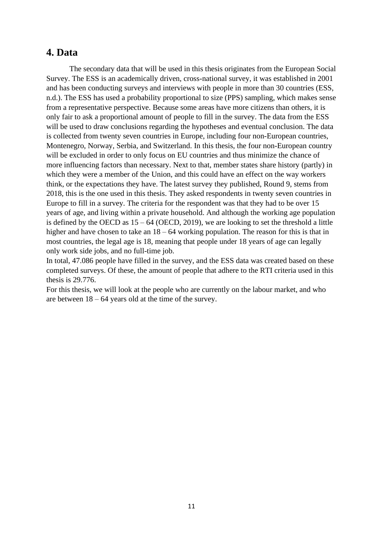### **4. Data**

The secondary data that will be used in this thesis originates from the European Social Survey. The ESS is an academically driven, cross-national survey, it was established in 2001 and has been conducting surveys and interviews with people in more than 30 countries (ESS, n.d.). The ESS has used a probability proportional to size (PPS) sampling, which makes sense from a representative perspective. Because some areas have more citizens than others, it is only fair to ask a proportional amount of people to fill in the survey. The data from the ESS will be used to draw conclusions regarding the hypotheses and eventual conclusion. The data is collected from twenty seven countries in Europe, including four non-European countries, Montenegro, Norway, Serbia, and Switzerland. In this thesis, the four non-European country will be excluded in order to only focus on EU countries and thus minimize the chance of more influencing factors than necessary. Next to that, member states share history (partly) in which they were a member of the Union, and this could have an effect on the way workers think, or the expectations they have. The latest survey they published, Round 9, stems from 2018, this is the one used in this thesis. They asked respondents in twenty seven countries in Europe to fill in a survey. The criteria for the respondent was that they had to be over 15 years of age, and living within a private household. And although the working age population is defined by the OECD as  $15 - 64$  (OECD, 2019), we are looking to set the threshold a little higher and have chosen to take an  $18 - 64$  working population. The reason for this is that in most countries, the legal age is 18, meaning that people under 18 years of age can legally only work side jobs, and no full-time job.

In total, 47.086 people have filled in the survey, and the ESS data was created based on these completed surveys. Of these, the amount of people that adhere to the RTI criteria used in this thesis is 29.776.

For this thesis, we will look at the people who are currently on the labour market, and who are between  $18 - 64$  years old at the time of the survey.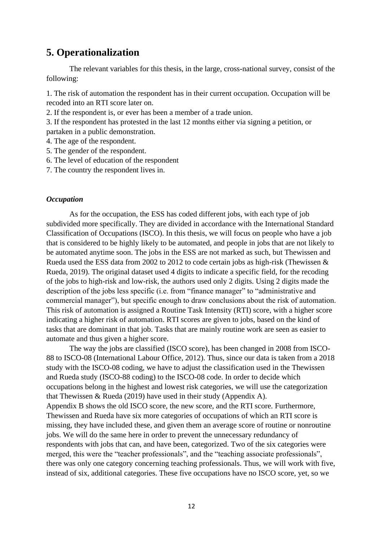# **5. Operationalization**

The relevant variables for this thesis, in the large, cross-national survey, consist of the following:

1. The risk of automation the respondent has in their current occupation. Occupation will be recoded into an RTI score later on.

2. If the respondent is, or ever has been a member of a trade union.

3. If the respondent has protested in the last 12 months either via signing a petition, or partaken in a public demonstration.

- 4. The age of the respondent.
- 5. The gender of the respondent.
- 6. The level of education of the respondent
- 7. The country the respondent lives in.

### *Occupation*

As for the occupation, the ESS has coded different jobs, with each type of job subdivided more specifically. They are divided in accordance with the International Standard Classification of Occupations (ISCO). In this thesis, we will focus on people who have a job that is considered to be highly likely to be automated, and people in jobs that are not likely to be automated anytime soon. The jobs in the ESS are not marked as such, but Thewissen and Rueda used the ESS data from 2002 to 2012 to code certain jobs as high-risk (Thewissen & Rueda, 2019). The original dataset used 4 digits to indicate a specific field, for the recoding of the jobs to high-risk and low-risk, the authors used only 2 digits. Using 2 digits made the description of the jobs less specific (i.e. from "finance manager" to "administrative and commercial manager"), but specific enough to draw conclusions about the risk of automation. This risk of automation is assigned a Routine Task Intensity (RTI) score, with a higher score indicating a higher risk of automation. RTI scores are given to jobs, based on the kind of tasks that are dominant in that job. Tasks that are mainly routine work are seen as easier to automate and thus given a higher score.

The way the jobs are classified (ISCO score), has been changed in 2008 from ISCO-88 to ISCO-08 (International Labour Office, 2012). Thus, since our data is taken from a 2018 study with the ISCO-08 coding, we have to adjust the classification used in the Thewissen and Rueda study (ISCO-88 coding) to the ISCO-08 code. In order to decide which occupations belong in the highest and lowest risk categories, we will use the categorization that Thewissen & Rueda (2019) have used in their study (Appendix A). Appendix B shows the old ISCO score, the new score, and the RTI score. Furthermore, Thewissen and Rueda have six more categories of occupations of which an RTI score is missing, they have included these, and given them an average score of routine or nonroutine jobs. We will do the same here in order to prevent the unnecessary redundancy of respondents with jobs that can, and have been, categorized. Two of the six categories were merged, this were the "teacher professionals", and the "teaching associate professionals", there was only one category concerning teaching professionals. Thus, we will work with five, instead of six, additional categories. These five occupations have no ISCO score, yet, so we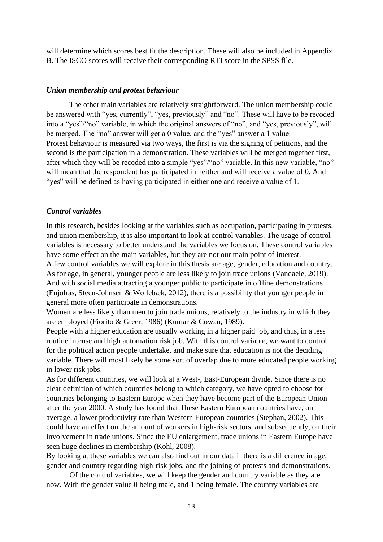will determine which scores best fit the description. These will also be included in Appendix B. The ISCO scores will receive their corresponding RTI score in the SPSS file.

### *Union membership and protest behaviour*

The other main variables are relatively straightforward. The union membership could be answered with "yes, currently", "yes, previously" and "no". These will have to be recoded into a "yes"/"no" variable, in which the original answers of "no", and "yes, previously", will be merged. The "no" answer will get a 0 value, and the "yes" answer a 1 value. Protest behaviour is measured via two ways, the first is via the signing of petitions, and the second is the participation in a demonstration. These variables will be merged together first, after which they will be recoded into a simple "yes"/"no" variable. In this new variable, "no" will mean that the respondent has participated in neither and will receive a value of 0. And "yes" will be defined as having participated in either one and receive a value of 1.

#### *Control variables*

In this research, besides looking at the variables such as occupation, participating in protests, and union membership, it is also important to look at control variables. The usage of control variables is necessary to better understand the variables we focus on. These control variables have some effect on the main variables, but they are not our main point of interest.

A few control variables we will explore in this thesis are age, gender, education and country. As for age, in general, younger people are less likely to join trade unions (Vandaele, 2019). And with social media attracting a younger public to participate in offline demonstrations (Enjolras, Steen-Johnsen & Wollebæk, 2012), there is a possibility that younger people in general more often participate in demonstrations.

Women are less likely than men to join trade unions, relatively to the industry in which they are employed (Fiorito & Greer, 1986) (Kumar & Cowan, 1989).

People with a higher education are usually working in a higher paid job, and thus, in a less routine intense and high automation risk job. With this control variable, we want to control for the political action people undertake, and make sure that education is not the deciding variable. There will most likely be some sort of overlap due to more educated people working in lower risk jobs.

As for different countries, we will look at a West-, East-European divide. Since there is no clear definition of which countries belong to which category, we have opted to choose for countries belonging to Eastern Europe when they have become part of the European Union after the year 2000. A study has found that These Eastern European countries have, on average, a lower productivity rate than Western European countries (Stephan, 2002). This could have an effect on the amount of workers in high-risk sectors, and subsequently, on their involvement in trade unions. Since the EU enlargement, trade unions in Eastern Europe have seen huge declines in membership (Kohl, 2008).

By looking at these variables we can also find out in our data if there is a difference in age, gender and country regarding high-risk jobs, and the joining of protests and demonstrations.

Of the control variables, we will keep the gender and country variable as they are now. With the gender value 0 being male, and 1 being female. The country variables are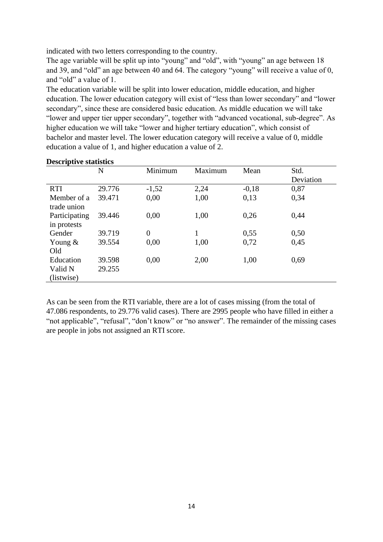indicated with two letters corresponding to the country.

The age variable will be split up into "young" and "old", with "young" an age between 18 and 39, and "old" an age between 40 and 64. The category "young" will receive a value of 0, and "old" a value of 1.

The education variable will be split into lower education, middle education, and higher education. The lower education category will exist of "less than lower secondary" and "lower secondary", since these are considered basic education. As middle education we will take "lower and upper tier upper secondary", together with "advanced vocational, sub-degree". As higher education we will take "lower and higher tertiary education", which consist of bachelor and master level. The lower education category will receive a value of 0, middle education a value of 1, and higher education a value of 2.

|               | N      | Minimum        | Maximum | Mean    | Std.      |
|---------------|--------|----------------|---------|---------|-----------|
|               |        |                |         |         | Deviation |
| <b>RTI</b>    | 29.776 | $-1,52$        | 2,24    | $-0,18$ | 0,87      |
| Member of a   | 39.471 | 0,00           | 1,00    | 0,13    | 0,34      |
| trade union   |        |                |         |         |           |
| Participating | 39.446 | 0,00           | 1,00    | 0,26    | 0,44      |
| in protests   |        |                |         |         |           |
| Gender        | 39.719 | $\overline{0}$ | 1       | 0,55    | 0,50      |
| Young $&$     | 39.554 | 0,00           | 1,00    | 0,72    | 0,45      |
| Old           |        |                |         |         |           |
| Education     | 39.598 | 0,00           | 2,00    | 1,00    | 0,69      |
| Valid N       | 29.255 |                |         |         |           |
| (listwise)    |        |                |         |         |           |

### **Descriptive statistics**

As can be seen from the RTI variable, there are a lot of cases missing (from the total of 47.086 respondents, to 29.776 valid cases). There are 2995 people who have filled in either a "not applicable", "refusal", "don't know" or "no answer". The remainder of the missing cases are people in jobs not assigned an RTI score.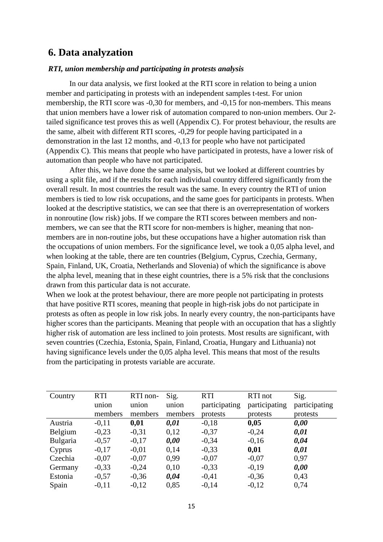## **6. Data analyzation**

### *RTI, union membership and participating in protests analysis*

In our data analysis, we first looked at the RTI score in relation to being a union member and participating in protests with an independent samples t-test. For union membership, the RTI score was -0,30 for members, and -0,15 for non-members. This means that union members have a lower risk of automation compared to non-union members. Our 2 tailed significance test proves this as well (Appendix C). For protest behaviour, the results are the same, albeit with different RTI scores, -0,29 for people having participated in a demonstration in the last 12 months, and -0,13 for people who have not participated (Appendix C). This means that people who have participated in protests, have a lower risk of automation than people who have not participated.

After this, we have done the same analysis, but we looked at different countries by using a split file, and if the results for each individual country differed significantly from the overall result. In most countries the result was the same. In every country the RTI of union members is tied to low risk occupations, and the same goes for participants in protests. When looked at the descriptive statistics, we can see that there is an overrepresentation of workers in nonroutine (low risk) jobs. If we compare the RTI scores between members and nonmembers, we can see that the RTI score for non-members is higher, meaning that nonmembers are in non-routine jobs, but these occupations have a higher automation risk than the occupations of union members. For the significance level, we took a 0,05 alpha level, and when looking at the table, there are ten countries (Belgium, Cyprus, Czechia, Germany, Spain, Finland, UK, Croatia, Netherlands and Slovenia) of which the significance is above the alpha level, meaning that in these eight countries, there is a 5% risk that the conclusions drawn from this particular data is not accurate.

When we look at the protest behaviour, there are more people not participating in protests that have positive RTI scores, meaning that people in high-risk jobs do not participate in protests as often as people in low risk jobs. In nearly every country, the non-participants have higher scores than the participants. Meaning that people with an occupation that has a slightly higher risk of automation are less inclined to join protests. Most results are significant, with seven countries (Czechia, Estonia, Spain, Finland, Croatia, Hungary and Lithuania) not having significance levels under the 0,05 alpha level. This means that most of the results from the participating in protests variable are accurate.

| Country  | <b>RTI</b> | RTI non- | Sig.    | <b>RTI</b>    | RTI not       | Sig.          |
|----------|------------|----------|---------|---------------|---------------|---------------|
|          | union      | union    | union   | participating | participating | participating |
|          | members    | members  | members | protests      | protests      | protests      |
| Austria  | $-0,11$    | 0,01     | 0,01    | $-0,18$       | 0,05          | 0,00          |
| Belgium  | $-0,23$    | $-0,31$  | 0,12    | $-0,37$       | $-0,24$       | 0,01          |
| Bulgaria | $-0,57$    | $-0,17$  | 0,00    | $-0,34$       | $-0,16$       | 0,04          |
| Cyprus   | $-0,17$    | $-0.01$  | 0.14    | $-0,33$       | 0,01          | 0,01          |
| Czechia  | $-0.07$    | $-0.07$  | 0.99    | $-0,07$       | $-0,07$       | 0,97          |
| Germany  | $-0,33$    | $-0,24$  | 0,10    | $-0,33$       | $-0,19$       | 0,00          |
| Estonia  | $-0,57$    | $-0,36$  | 0,04    | $-0,41$       | $-0,36$       | 0,43          |
| Spain    | $-0,11$    | $-0,12$  | 0.85    | $-0,14$       | $-0,12$       | 0.74          |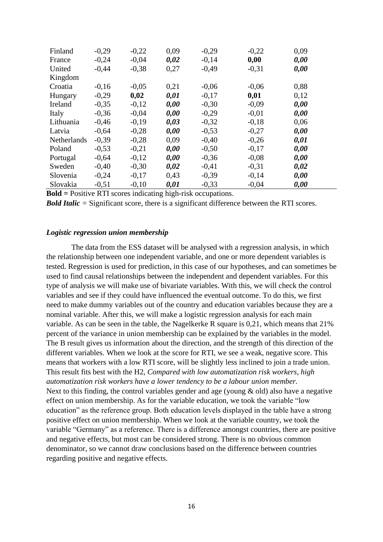| Finland            | $-0,29$ | $-0,22$ | 0,09 | $-0,29$ | $-0,22$ | 0,09 |  |
|--------------------|---------|---------|------|---------|---------|------|--|
| France             | $-0,24$ | $-0,04$ | 0,02 | $-0,14$ | 0,00    | 0,00 |  |
| United             | $-0,44$ | $-0,38$ | 0,27 | $-0,49$ | $-0,31$ | 0,00 |  |
| Kingdom            |         |         |      |         |         |      |  |
| Croatia            | $-0,16$ | $-0.05$ | 0,21 | $-0.06$ | $-0,06$ | 0,88 |  |
| Hungary            | $-0,29$ | 0,02    | 0,01 | $-0,17$ | 0,01    | 0,12 |  |
| Ireland            | $-0,35$ | $-0,12$ | 0,00 | $-0,30$ | $-0.09$ | 0,00 |  |
| Italy              | $-0,36$ | $-0.04$ | 0,00 | $-0,29$ | $-0.01$ | 0,00 |  |
| Lithuania          | $-0,46$ | $-0,19$ | 0,03 | $-0,32$ | $-0,18$ | 0,06 |  |
| Latvia             | $-0,64$ | $-0.28$ | 0,00 | $-0,53$ | $-0,27$ | 0,00 |  |
| <b>Netherlands</b> | $-0,39$ | $-0,28$ | 0,09 | $-0,40$ | $-0,26$ | 0,01 |  |
| Poland             | $-0,53$ | $-0,21$ | 0,00 | $-0,50$ | $-0,17$ | 0,00 |  |
| Portugal           | $-0.64$ | $-0.12$ | 0,00 | $-0,36$ | $-0.08$ | 0,00 |  |
| Sweden             | $-0,40$ | $-0,30$ | 0,02 | $-0,41$ | $-0,31$ | 0,02 |  |
| Slovenia           | $-0,24$ | $-0,17$ | 0,43 | $-0,39$ | $-0,14$ | 0,00 |  |
| Slovakia           | $-0,51$ | $-0.10$ | 0,01 | $-0,33$ | $-0.04$ | 0,00 |  |

**Bold =** Positive RTI scores indicating high-risk occupations.

*Bold Italic =* Significant score, there is a significant difference between the RTI scores.

#### *Logistic regression union membership*

The data from the ESS dataset will be analysed with a regression analysis, in which the relationship between one independent variable, and one or more dependent variables is tested. Regression is used for prediction, in this case of our hypotheses, and can sometimes be used to find causal relationships between the independent and dependent variables. For this type of analysis we will make use of bivariate variables. With this, we will check the control variables and see if they could have influenced the eventual outcome. To do this, we first need to make dummy variables out of the country and education variables because they are a nominal variable. After this, we will make a logistic regression analysis for each main variable. As can be seen in the table, the Nagelkerke R square is 0,21, which means that 21% percent of the variance in union membership can be explained by the variables in the model. The B result gives us information about the direction, and the strength of this direction of the different variables. When we look at the score for RTI, we see a weak, negative score. This means that workers with a low RTI score, will be slightly less inclined to join a trade union. This result fits best with the H2, *Compared with low automatization risk workers, high automatization risk workers have a lower tendency to be a labour union member.* Next to this finding, the control variables gender and age (young  $\&$  old) also have a negative effect on union membership. As for the variable education, we took the variable "low education" as the reference group. Both education levels displayed in the table have a strong positive effect on union membership. When we look at the variable country, we took the variable "Germany" as a reference. There is a difference amongst countries, there are positive and negative effects, but most can be considered strong. There is no obvious common denominator, so we cannot draw conclusions based on the difference between countries regarding positive and negative effects.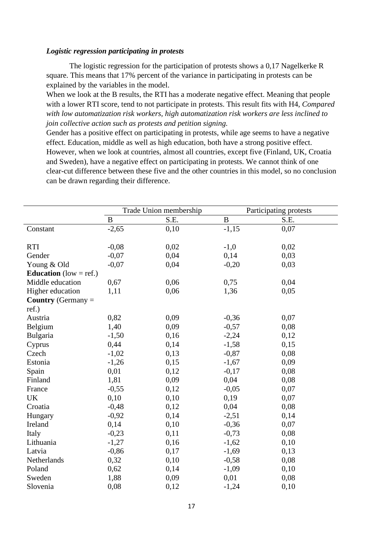### *Logistic regression participating in protests*

The logistic regression for the participation of protests shows a 0,17 Nagelkerke R square. This means that 17% percent of the variance in participating in protests can be explained by the variables in the model.

When we look at the B results, the RTI has a moderate negative effect. Meaning that people with a lower RTI score, tend to not participate in protests. This result fits with H4, *Compared with low automatization risk workers, high automatization risk workers are less inclined to join collective action such as protests and petition signing.*

Gender has a positive effect on participating in protests, while age seems to have a negative effect. Education, middle as well as high education, both have a strong positive effect. However, when we look at countries, almost all countries, except five (Finland, UK, Croatia and Sweden), have a negative effect on participating in protests. We cannot think of one clear-cut difference between these five and the other countries in this model, so no conclusion can be drawn regarding their difference.

|                               | Trade Union membership |      | Participating protests |      |  |
|-------------------------------|------------------------|------|------------------------|------|--|
|                               | $\, {\bf B}$           | S.E. | $\, {\bf B}$           | S.E. |  |
| Constant                      | $-2,65$                | 0,10 | $-1,15$                | 0,07 |  |
|                               |                        |      |                        |      |  |
| <b>RTI</b>                    | $-0,08$                | 0,02 | $-1,0$                 | 0,02 |  |
| Gender                        | $-0,07$                | 0,04 | 0,14                   | 0,03 |  |
| Young & Old                   | $-0,07$                | 0,04 | $-0,20$                | 0,03 |  |
| <b>Education</b> (low = ref.) |                        |      |                        |      |  |
| Middle education              | 0,67                   | 0,06 | 0,75                   | 0,04 |  |
| Higher education              | 1,11                   | 0,06 | 1,36                   | 0,05 |  |
| <b>Country</b> (Germany $=$   |                        |      |                        |      |  |
| ref.)                         |                        |      |                        |      |  |
| Austria                       | 0,82                   | 0,09 | $-0,36$                | 0,07 |  |
| Belgium                       | 1,40                   | 0,09 | $-0,57$                | 0,08 |  |
| Bulgaria                      | $-1,50$                | 0,16 | $-2,24$                | 0,12 |  |
| Cyprus                        | 0,44                   | 0,14 | $-1,58$                | 0,15 |  |
| Czech                         | $-1,02$                | 0,13 | $-0,87$                | 0,08 |  |
| Estonia                       | $-1,26$                | 0,15 | $-1,67$                | 0,09 |  |
| Spain                         | 0,01                   | 0,12 | $-0,17$                | 0,08 |  |
| Finland                       | 1,81                   | 0,09 | 0,04                   | 0,08 |  |
| France                        | $-0,55$                | 0,12 | $-0,05$                | 0,07 |  |
| <b>UK</b>                     | 0,10                   | 0,10 | 0,19                   | 0,07 |  |
| Croatia                       | $-0,48$                | 0,12 | 0,04                   | 0,08 |  |
| Hungary                       | $-0,92$                | 0,14 | $-2,51$                | 0,14 |  |
| Ireland                       | 0,14                   | 0,10 | $-0,36$                | 0,07 |  |
| Italy                         | $-0,23$                | 0,11 | $-0,73$                | 0,08 |  |
| Lithuania                     | $-1,27$                | 0,16 | $-1,62$                | 0,10 |  |
| Latvia                        | $-0,86$                | 0,17 | $-1,69$                | 0,13 |  |
| Netherlands                   | 0,32                   | 0,10 | $-0,58$                | 0,08 |  |
| Poland                        | 0,62                   | 0,14 | $-1,09$                | 0,10 |  |
| Sweden                        | 1,88                   | 0,09 | 0,01                   | 0,08 |  |
| Slovenia                      | 0,08                   | 0,12 | $-1,24$                | 0,10 |  |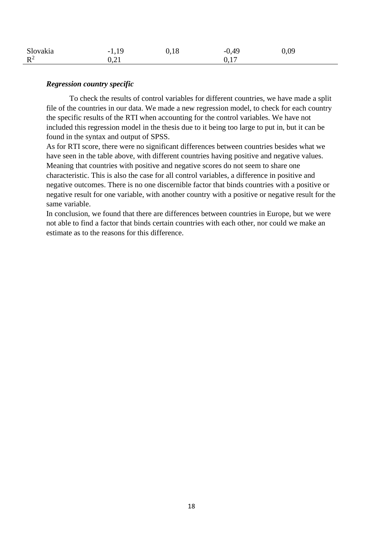| Slovakia       | $-1,19$ | 0,18 | $-0,49$ | 0,09 |
|----------------|---------|------|---------|------|
| $\mathbb{R}^2$ | 0,21    |      | 0,17    |      |

### *Regression country specific*

To check the results of control variables for different countries, we have made a split file of the countries in our data. We made a new regression model, to check for each country the specific results of the RTI when accounting for the control variables. We have not included this regression model in the thesis due to it being too large to put in, but it can be found in the syntax and output of SPSS.

As for RTI score, there were no significant differences between countries besides what we have seen in the table above, with different countries having positive and negative values. Meaning that countries with positive and negative scores do not seem to share one characteristic. This is also the case for all control variables, a difference in positive and negative outcomes. There is no one discernible factor that binds countries with a positive or negative result for one variable, with another country with a positive or negative result for the same variable.

In conclusion, we found that there are differences between countries in Europe, but we were not able to find a factor that binds certain countries with each other, nor could we make an estimate as to the reasons for this difference.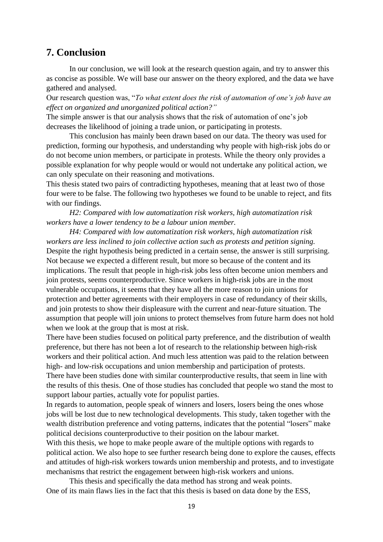### **7. Conclusion**

In our conclusion, we will look at the research question again, and try to answer this as concise as possible. We will base our answer on the theory explored, and the data we have gathered and analysed.

Our research question was, "*To what extent does the risk of automation of one's job have an effect on organized and unorganized political action?"*

The simple answer is that our analysis shows that the risk of automation of one's job decreases the likelihood of joining a trade union, or participating in protests.

This conclusion has mainly been drawn based on our data. The theory was used for prediction, forming our hypothesis, and understanding why people with high-risk jobs do or do not become union members, or participate in protests. While the theory only provides a possible explanation for why people would or would not undertake any political action, we can only speculate on their reasoning and motivations.

This thesis stated two pairs of contradicting hypotheses, meaning that at least two of those four were to be false. The following two hypotheses we found to be unable to reject, and fits with our findings.

*H2: Compared with low automatization risk workers, high automatization risk workers have a lower tendency to be a labour union member.*

*H4: Compared with low automatization risk workers, high automatization risk workers are less inclined to join collective action such as protests and petition signing.* Despite the right hypothesis being predicted in a certain sense, the answer is still surprising. Not because we expected a different result, but more so because of the content and its implications. The result that people in high-risk jobs less often become union members and join protests, seems counterproductive. Since workers in high-risk jobs are in the most vulnerable occupations, it seems that they have all the more reason to join unions for protection and better agreements with their employers in case of redundancy of their skills, and join protests to show their displeasure with the current and near-future situation. The assumption that people will join unions to protect themselves from future harm does not hold when we look at the group that is most at risk.

There have been studies focused on political party preference, and the distribution of wealth preference, but there has not been a lot of research to the relationship between high-risk workers and their political action. And much less attention was paid to the relation between high- and low-risk occupations and union membership and participation of protests.

There have been studies done with similar counterproductive results, that seem in line with the results of this thesis. One of those studies has concluded that people wo stand the most to support labour parties, actually vote for populist parties.

In regards to automation, people speak of winners and losers, losers being the ones whose jobs will be lost due to new technological developments. This study, taken together with the wealth distribution preference and voting patterns, indicates that the potential "losers" make political decisions counterproductive to their position on the labour market.

With this thesis, we hope to make people aware of the multiple options with regards to political action. We also hope to see further research being done to explore the causes, effects and attitudes of high-risk workers towards union membership and protests, and to investigate mechanisms that restrict the engagement between high-risk workers and unions.

This thesis and specifically the data method has strong and weak points. One of its main flaws lies in the fact that this thesis is based on data done by the ESS,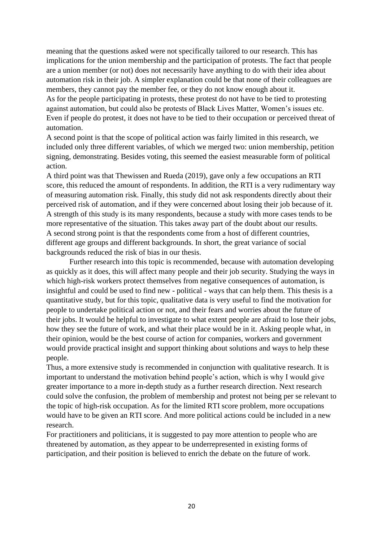meaning that the questions asked were not specifically tailored to our research. This has implications for the union membership and the participation of protests. The fact that people are a union member (or not) does not necessarily have anything to do with their idea about automation risk in their job. A simpler explanation could be that none of their colleagues are members, they cannot pay the member fee, or they do not know enough about it. As for the people participating in protests, these protest do not have to be tied to protesting against automation, but could also be protests of Black Lives Matter, Women's issues etc. Even if people do protest, it does not have to be tied to their occupation or perceived threat of automation.

A second point is that the scope of political action was fairly limited in this research, we included only three different variables, of which we merged two: union membership, petition signing, demonstrating. Besides voting, this seemed the easiest measurable form of political action.

A third point was that Thewissen and Rueda (2019), gave only a few occupations an RTI score, this reduced the amount of respondents. In addition, the RTI is a very rudimentary way of measuring automation risk. Finally, this study did not ask respondents directly about their perceived risk of automation, and if they were concerned about losing their job because of it. A strength of this study is its many respondents, because a study with more cases tends to be more representative of the situation. This takes away part of the doubt about our results. A second strong point is that the respondents come from a host of different countries, different age groups and different backgrounds. In short, the great variance of social backgrounds reduced the risk of bias in our thesis.

Further research into this topic is recommended, because with automation developing as quickly as it does, this will affect many people and their job security. Studying the ways in which high-risk workers protect themselves from negative consequences of automation, is insightful and could be used to find new - political - ways that can help them. This thesis is a quantitative study, but for this topic, qualitative data is very useful to find the motivation for people to undertake political action or not, and their fears and worries about the future of their jobs. It would be helpful to investigate to what extent people are afraid to lose their jobs, how they see the future of work, and what their place would be in it. Asking people what, in their opinion, would be the best course of action for companies, workers and government would provide practical insight and support thinking about solutions and ways to help these people.

Thus, a more extensive study is recommended in conjunction with qualitative research. It is important to understand the motivation behind people's action, which is why I would give greater importance to a more in-depth study as a further research direction. Next research could solve the confusion, the problem of membership and protest not being per se relevant to the topic of high-risk occupation. As for the limited RTI score problem, more occupations would have to be given an RTI score. And more political actions could be included in a new research.

For practitioners and politicians, it is suggested to pay more attention to people who are threatened by automation, as they appear to be underrepresented in existing forms of participation, and their position is believed to enrich the debate on the future of work.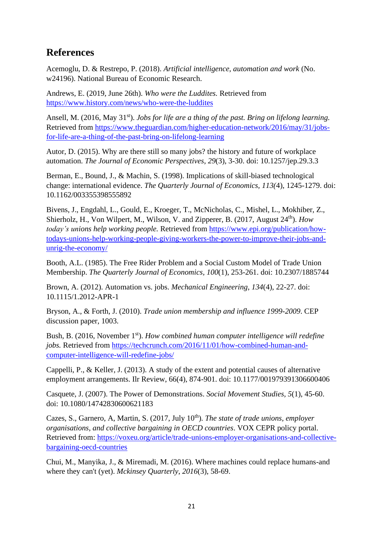# **References**

Acemoglu, D. & Restrepo, P. (2018). *Artificial intelligence, automation and work* (No. w24196). National Bureau of Economic Research.

Andrews, E. (2019, June 26th). *Who were the Luddites.* Retrieved from <https://www.history.com/news/who-were-the-luddites>

Ansell, M. (2016, May 31<sup>st</sup>). *Jobs for life are a thing of the past. Bring on lifelong learning.* Retrieved from [https://www.theguardian.com/higher-education-network/2016/may/31/jobs](https://www.theguardian.com/higher-education-network/2016/may/31/jobs-for-life-are-a-thing-of-the-past-bring-on-lifelong-learning)[for-life-are-a-thing-of-the-past-bring-on-lifelong-learning](https://www.theguardian.com/higher-education-network/2016/may/31/jobs-for-life-are-a-thing-of-the-past-bring-on-lifelong-learning)

Autor, D. (2015). Why are there still so many jobs? the history and future of workplace automation. *The Journal of Economic Perspectives*, *29*(3), 3-30. doi: 10.1257/jep.29.3.3

Berman, E., Bound, J., & Machin, S. (1998). Implications of skill-biased technological change: international evidence. *The Quarterly Journal of Economics, 113(*4), 1245-1279. doi: 10.1162/003355398555892

Bivens, J., Engdahl, L., Gould, E., Kroeger, T., McNicholas, C., Mishel, L., Mokhiber, Z., Shierholz, H., Von Wilpert, M., Wilson, V. and Zipperer, B. (2017, August 24<sup>th</sup>). *How today's unions help working people.* Retrieved from [https://www.epi.org/publication/how](https://www.epi.org/publication/how-todays-unions-help-working-people-giving-workers-the-power-to-improve-their-jobs-and-unrig-the-economy/)[todays-unions-help-working-people-giving-workers-the-power-to-improve-their-jobs-and](https://www.epi.org/publication/how-todays-unions-help-working-people-giving-workers-the-power-to-improve-their-jobs-and-unrig-the-economy/)[unrig-the-economy/](https://www.epi.org/publication/how-todays-unions-help-working-people-giving-workers-the-power-to-improve-their-jobs-and-unrig-the-economy/)

Booth, A.L. (1985). The Free Rider Problem and a Social Custom Model of Trade Union Membership. *The Quarterly Journal of Economics, 100*(1), 253-261. doi: 10.2307/1885744

Brown, A. (2012). Automation vs. jobs. *Mechanical Engineering*, *134*(4), 22-27. doi: 10.1115/1.2012-APR-1

Bryson, A., & Forth, J. (2010). *Trade union membership and influence 1999-2009*. CEP discussion paper, 1003.

Bush, B. (2016, November 1st). *How combined human computer intelligence will redefine jobs.* Retrieved from [https://techcrunch.com/2016/11/01/how-combined-human-and](https://techcrunch.com/2016/11/01/how-combined-human-and-computer-intelligence-will-redefine-jobs/)[computer-intelligence-will-redefine-jobs/](https://techcrunch.com/2016/11/01/how-combined-human-and-computer-intelligence-will-redefine-jobs/)

Cappelli, P., & Keller, J. (2013). A study of the extent and potential causes of alternative employment arrangements. Ilr Review, 66(4), 874-901. doi: 10.1177/001979391306600406

Casquete, J. (2007). The Power of Demonstrations. *Social Movement Studies, 5*(1), 45-60. doi: 10.1080/14742830600621183

Cazes, S., Garnero, A, Martin, S. (2017, July 10<sup>th</sup>). *The state of trade unions, employer organisations, and collective bargaining in OECD countries*. VOX CEPR policy portal. Retrieved from: [https://voxeu.org/article/trade-unions-employer-organisations-and-collective](https://voxeu.org/article/trade-unions-employer-organisations-and-collective-bargaining-oecd-countries)[bargaining-oecd-countries](https://voxeu.org/article/trade-unions-employer-organisations-and-collective-bargaining-oecd-countries)

Chui, M., Manyika, J., & Miremadi, M. (2016). Where machines could replace humans-and where they can't (yet). *Mckinsey Quarterly*, *2016*(3), 58-69.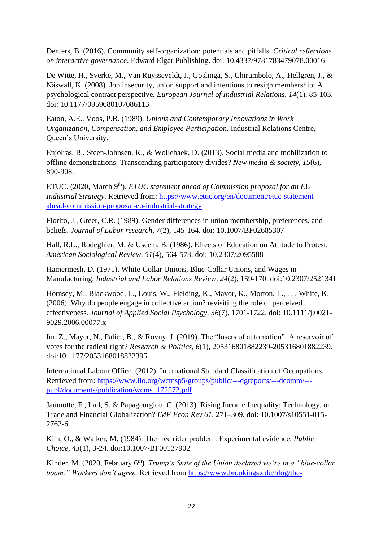Denters, B. (2016). Community self-organization: potentials and pitfalls. *Critical reflections on interactive governance*. Edward Elgar Publishing. doi: 10.4337/9781783479078.00016

De Witte, H., Sverke, M., Van Ruysseveldt, J., Goslinga, S., Chirumbolo, A., Hellgren, J., & Näswall, K. (2008). Job insecurity, union support and intentions to resign membership: A psychological contract perspective*. European Journal of Industrial Relations*, *14*(1), 85-103. doi: 10.1177/0959680107086113

Eaton, A.E., Voos, P.B. (1989). *Unions and Contemporary Innovations in Work Organization, Compensation, and Employee Participation.* Industrial Relations Centre, Queen's University.

Enjolras, B., Steen-Johnsen, K., & Wollebaek, D. (2013). Social media and mobilization to offline demonstrations: Transcending participatory divides? *New media & society, 15*(6), 890-908.

ETUC. (2020, March 9<sup>th</sup>). *ETUC statement ahead of Commission proposal for an EU Industrial Strategy.* Retrieved from: [https://www.etuc.org/en/document/etuc-statement](https://www.etuc.org/en/document/etuc-statement-ahead-commission-proposal-eu-industrial-strategy)[ahead-commission-proposal-eu-industrial-strategy](https://www.etuc.org/en/document/etuc-statement-ahead-commission-proposal-eu-industrial-strategy)

Fiorito, J., Greer, C.R. (1989). Gender differences in union membership, preferences, and beliefs. *Journal of Labor research, 7*(2), 145-164. doi: 10.1007/BF02685307

Hall, R.L., Rodeghier, M. & Useem, B. (1986). Effects of Education on Attitude to Protest. *American Sociological Review, 51*(4), 564-573. doi: 10.2307/2095588

Hamermesh, D. (1971). White-Collar Unions, Blue-Collar Unions, and Wages in Manufacturing. *Industrial and Labor Relations Review, 24*(2), 159-170. doi:10.2307/2521341

Hornsey, M., Blackwood, L., Louis, W., Fielding, K., Mavor, K., Morton, T., . . . White, K. (2006). Why do people engage in collective action? revisiting the role of perceived effectiveness*. Journal of Applied Social Psychology, 36*(7), 1701-1722. doi: 10.1111/j.0021- 9029.2006.00077.x

Im, Z., Mayer, N., Palier, B., & Rovny, J. (2019). The "losers of automation": A reservoir of votes for the radical right? *Research & Politics, 6*(1), 205316801882239-205316801882239. doi:10.1177/2053168018822395

International Labour Office. (2012). International Standard Classification of Occupations. Retrieved from: [https://www.ilo.org/wcmsp5/groups/public/---dgreports/---dcomm/--](https://www.ilo.org/wcmsp5/groups/public/---dgreports/---dcomm/---publ/documents/publication/wcms_172572.pdf) [publ/documents/publication/wcms\\_172572.pdf](https://www.ilo.org/wcmsp5/groups/public/---dgreports/---dcomm/---publ/documents/publication/wcms_172572.pdf)

Jaumotte, F., Lall, S. & Papageorgiou, C. (2013). Rising Income Inequality: Technology, or Trade and Financial Globalization? *IMF Econ Rev 61*, 271–309. doi: 10.1007/s10551-015- 2762-6

Kim, O., & Walker, M. (1984). The free rider problem: Experimental evidence. *Public Choice*, *43*(1), 3-24. doi:10.1007/BF00137902

Kinder, M. (2020, February 6<sup>th</sup>). *Trump's State of the Union declared we're in a "blue-collar*" *boom." Workers don't agree.* Retrieved from [https://www.brookings.edu/blog/the-](https://www.brookings.edu/blog/the-avenue/2020/02/05/trumps-state-of-the-union-declared-were-in-a-blue-collar-boom-workers-dont-agree/)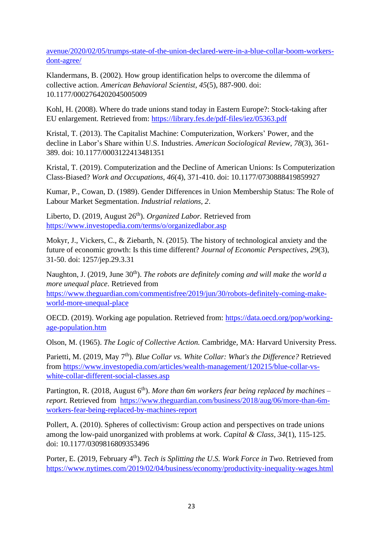[avenue/2020/02/05/trumps-state-of-the-union-declared-were-in-a-blue-collar-boom-workers](https://www.brookings.edu/blog/the-avenue/2020/02/05/trumps-state-of-the-union-declared-were-in-a-blue-collar-boom-workers-dont-agree/)[dont-agree/](https://www.brookings.edu/blog/the-avenue/2020/02/05/trumps-state-of-the-union-declared-were-in-a-blue-collar-boom-workers-dont-agree/)

Klandermans, B. (2002). How group identification helps to overcome the dilemma of collective action. *American Behavioral Scientist*, *45*(5), 887-900. doi: 10.1177/0002764202045005009

Kohl, H. (2008). Where do trade unions stand today in Eastern Europe?: Stock-taking after EU enlargement. Retrieved from:<https://library.fes.de/pdf-files/iez/05363.pdf>

Kristal, T. (2013). The Capitalist Machine: Computerization, Workers' Power, and the decline in Labor's Share within U.S. Industries. *American Sociological Review, 78*(3), 361- 389. doi: 10.1177/0003122413481351

Kristal, T. (2019). Computerization and the Decline of American Unions: Is Computerization Class-Biased? *Work and Occupations, 46*(4), 371-410. doi: 10.1177/0730888419859927

Kumar, P., Cowan, D. (1989). Gender Differences in Union Membership Status: The Role of Labour Market Segmentation. *Industrial relations, 2*.

Liberto, D. (2019, August 26<sup>th</sup>). *Organized Labor*. Retrieved from <https://www.investopedia.com/terms/o/organizedlabor.asp>

Mokyr, J., Vickers, C., & Ziebarth, N. (2015). The history of technological anxiety and the future of economic growth: Is this time different? *Journal of Economic Perspectives, 29*(3), 31-50. doi: 1257/jep.29.3.31

Naughton, J. (2019, June 30<sup>th</sup>). *The robots are definitely coming and will make the world a more unequal place*. Retrieved from [https://www.theguardian.com/commentisfree/2019/jun/30/robots-definitely-coming-make](https://www.theguardian.com/commentisfree/2019/jun/30/robots-definitely-coming-make-world-more-unequal-place)[world-more-unequal-place](https://www.theguardian.com/commentisfree/2019/jun/30/robots-definitely-coming-make-world-more-unequal-place)

OECD. (2019). Working age population. Retrieved from: [https://data.oecd.org/pop/working](https://data.oecd.org/pop/working-age-population.htm)[age-population.htm](https://data.oecd.org/pop/working-age-population.htm)

Olson, M. (1965). *The Logic of Collective Action.* Cambridge*,* MA: Harvard University Press.

Parietti, M. (2019, May 7<sup>th</sup>). *Blue Collar vs. White Collar: What's the Difference?* Retrieved from [https://www.investopedia.com/articles/wealth-management/120215/blue-collar-vs](https://www.investopedia.com/articles/wealth-management/120215/blue-collar-vs-white-collar-different-social-classes.asp)[white-collar-different-social-classes.asp](https://www.investopedia.com/articles/wealth-management/120215/blue-collar-vs-white-collar-different-social-classes.asp)

Partington, R. (2018, August 6<sup>th</sup>). *More than 6m workers fear being replaced by machines – report.* Retrieved from [https://www.theguardian.com/business/2018/aug/06/more-than-6m](https://www.theguardian.com/business/2018/aug/06/more-than-6m-workers-fear-being-replaced-by-machines-report)[workers-fear-being-replaced-by-machines-report](https://www.theguardian.com/business/2018/aug/06/more-than-6m-workers-fear-being-replaced-by-machines-report)

Pollert, A. (2010). Spheres of collectivism: Group action and perspectives on trade unions among the low-paid unorganized with problems at work. *Capital & Class, 34*(1), 115-125. doi: 10.1177/0309816809353496

Porter, E. (2019, February 4<sup>th</sup>). *Tech is Splitting the U.S. Work Force in Two*. Retrieved from <https://www.nytimes.com/2019/02/04/business/economy/productivity-inequality-wages.html>